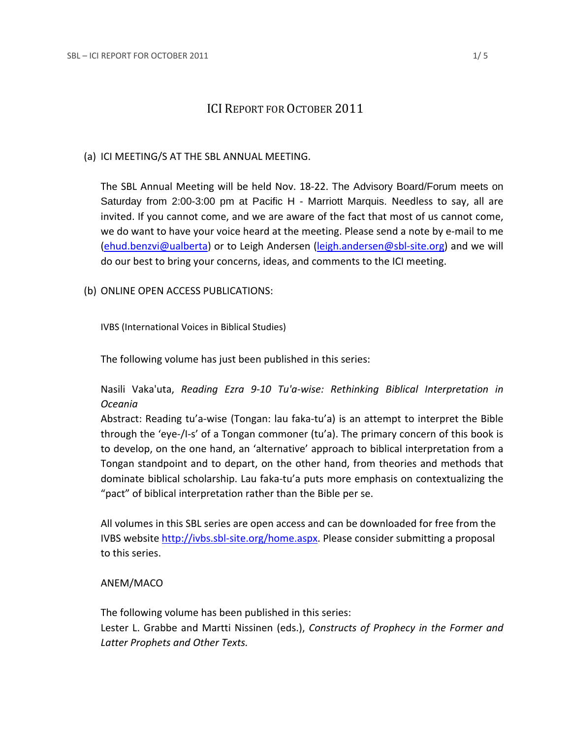# **ICI REPORT FOR OCTOBER 2011**

## (a) ICI MEETING/S AT THE SBL ANNUAL MEETING.

The SBL Annual Meeting will be held Nov. 18‐22. The Advisory Board/Forum meets on Saturday from 2:00-3:00 pm at Pacific H - Marriott Marquis. Needless to say, all are invited. If you cannot come, and we are aware of the fact that most of us cannot come, we do want to have your voice heard at the meeting. Please send a note by e‐mail to me (ehud.benzvi@ualberta) or to Leigh Andersen (leigh.andersen@sbl-site.org) and we will do our best to bring your concerns, ideas, and comments to the ICI meeting.

(b) ONLINE OPEN ACCESS PUBLICATIONS:

IVBS (International Voices in Biblical Studies)

The following volume has just been published in this series:

Nasili Vaka'uta, *Reading Ezra 9‐10 Tu'a‐wise: Rethinking Biblical Interpretation in Oceania*

Abstract: Reading tu'a‐wise (Tongan: lau faka‐tu'a) is an attempt to interpret the Bible through the 'eye‐/I‐s' of a Tongan commoner (tu'a). The primary concern of this book is to develop, on the one hand, an 'alternative' approach to biblical interpretation from a Tongan standpoint and to depart, on the other hand, from theories and methods that dominate biblical scholarship. Lau faka‐tu'a puts more emphasis on contextualizing the "pact" of biblical interpretation rather than the Bible per se.

All volumes in this SBL series are open access and can be downloaded for free from the IVBS website http://ivbs.sbl-site.org/home.aspx. Please consider submitting a proposal to this series.

# ANEM/MACO

The following volume has been published in this series: Lester L. Grabbe and Martti Nissinen (eds.), *Constructs of Prophecy in the Former and Latter Prophets and Other Texts.*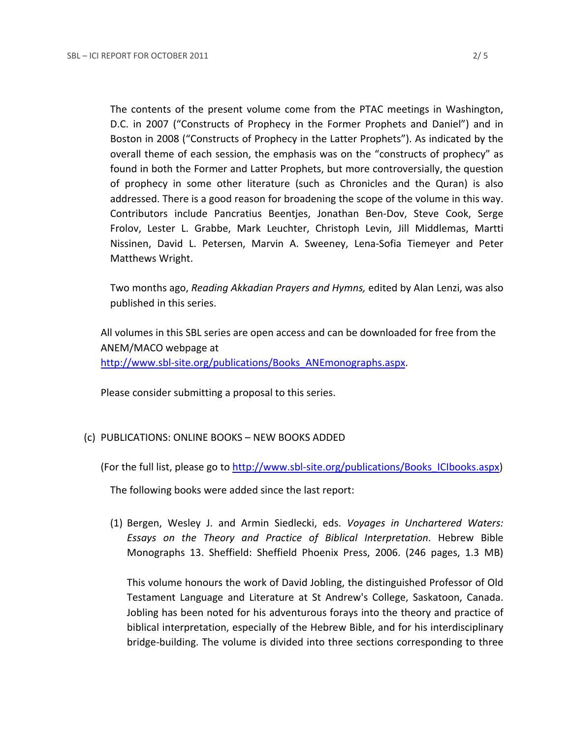The contents of the present volume come from the PTAC meetings in Washington, D.C. in 2007 ("Constructs of Prophecy in the Former Prophets and Daniel") and in Boston in 2008 ("Constructs of Prophecy in the Latter Prophets"). As indicated by the overall theme of each session, the emphasis was on the "constructs of prophecy" as found in both the Former and Latter Prophets, but more controversially, the question of prophecy in some other literature (such as Chronicles and the Quran) is also addressed. There is a good reason for broadening the scope of the volume in this way. Contributors include Pancratius Beentjes, Jonathan Ben‐Dov, Steve Cook, Serge Frolov, Lester L. Grabbe, Mark Leuchter, Christoph Levin, Jill Middlemas, Martti Nissinen, David L. Petersen, Marvin A. Sweeney, Lena‐Sofia Tiemeyer and Peter Matthews Wright.

Two months ago, *Reading Akkadian Prayers and Hymns,* edited by Alan Lenzi, was also published in this series.

All volumes in this SBL series are open access and can be downloaded for free from the ANEM/MACO webpage at http://www.sbl-site.org/publications/Books ANEmonographs.aspx.

Please consider submitting a proposal to this series.

# (c) PUBLICATIONS: ONLINE BOOKS – NEW BOOKS ADDED

(For the full list, please go to http://www.sbl-site.org/publications/Books\_ICIbooks.aspx)

The following books were added since the last report:

(1) Bergen, Wesley J. and Armin Siedlecki, eds. *Voyages in Unchartered Waters: Essays on the Theory and Practice of Biblical Interpretation*. Hebrew Bible Monographs 13. Sheffield: Sheffield Phoenix Press, 2006. (246 pages, 1.3 MB)

This volume honours the work of David Jobling, the distinguished Professor of Old Testament Language and Literature at St Andrew's College, Saskatoon, Canada. Jobling has been noted for his adventurous forays into the theory and practice of biblical interpretation, especially of the Hebrew Bible, and for his interdisciplinary bridge‐building. The volume is divided into three sections corresponding to three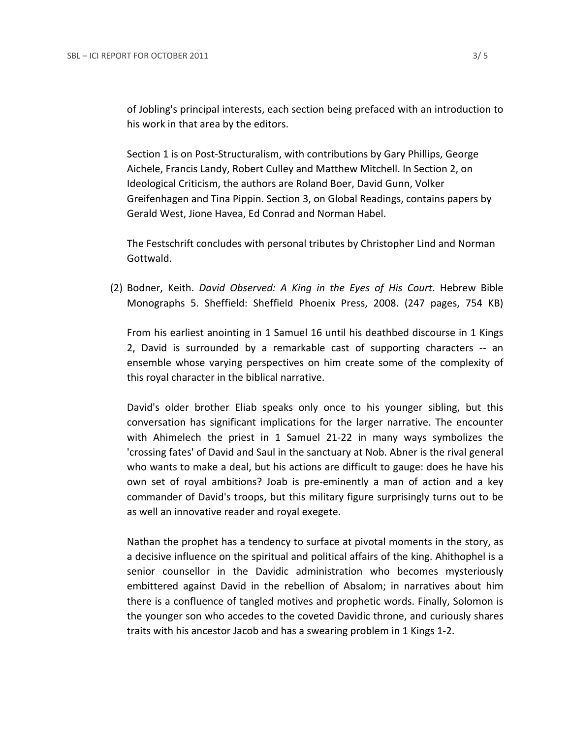of Jobling's principal interests, each section being prefaced with an introduction to his work in that area by the editors.

Section 1 is on Post-Structuralism, with contributions by Gary Phillips, George Aichele, Francis Landy, Robert Culley and Matthew Mitchell. In Section 2, on Ideological Criticism, the authors are Roland Boer, David Gunn, Volker Greifenhagen and Tina Pippin. Section 3, on Global Readings, contains papers by Gerald West, Jione Havea, Ed Conrad and Norman Habel.

The Festschrift concludes with personal tributes by Christopher Lind and Norman Gottwald.

(2) Bodner, Keith. *David Observed: A King in the Eyes of His Court*. Hebrew Bible Monographs 5. Sheffield: Sheffield Phoenix Press, 2008. (247 pages, 754 KB)

From his earliest anointing in 1 Samuel 16 until his deathbed discourse in 1 Kings 2, David is surrounded by a remarkable cast of supporting characters ‐‐ an ensemble whose varying perspectives on him create some of the complexity of this royal character in the biblical narrative.

David's older brother Eliab speaks only once to his younger sibling, but this conversation has significant implications for the larger narrative. The encounter with Ahimelech the priest in 1 Samuel 21‐22 in many ways symbolizes the 'crossing fates' of David and Saul in the sanctuary at Nob. Abner is the rival general who wants to make a deal, but his actions are difficult to gauge: does he have his own set of royal ambitions? Joab is pre‐eminently a man of action and a key commander of David's troops, but this military figure surprisingly turns out to be as well an innovative reader and royal exegete.

Nathan the prophet has a tendency to surface at pivotal moments in the story, as a decisive influence on the spiritual and political affairs of the king. Ahithophel is a senior counsellor in the Davidic administration who becomes mysteriously embittered against David in the rebellion of Absalom; in narratives about him there is a confluence of tangled motives and prophetic words. Finally, Solomon is the younger son who accedes to the coveted Davidic throne, and curiously shares traits with his ancestor Jacob and has a swearing problem in 1 Kings 1‐2.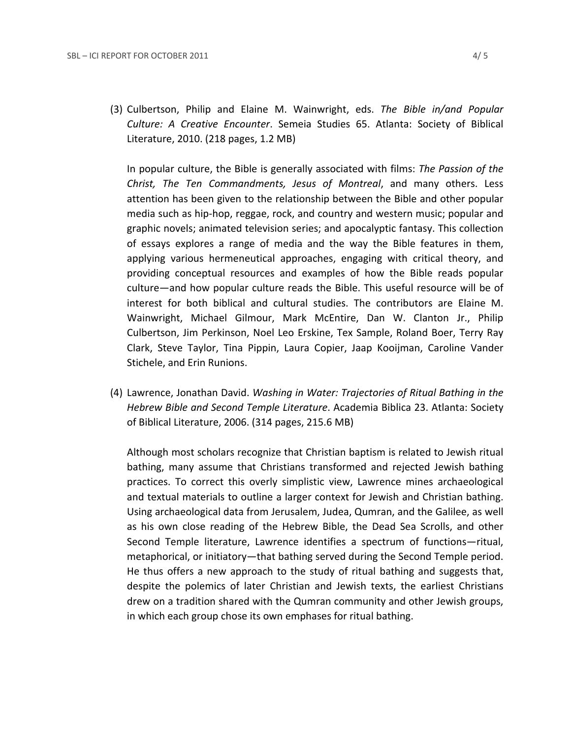(3) Culbertson, Philip and Elaine M. Wainwright, eds. *The Bible in/and Popular Culture: A Creative Encounter*. Semeia Studies 65. Atlanta: Society of Biblical Literature, 2010. (218 pages, 1.2 MB)

In popular culture, the Bible is generally associated with films: *The Passion of the Christ, The Ten Commandments, Jesus of Montreal*, and many others. Less attention has been given to the relationship between the Bible and other popular media such as hip‐hop, reggae, rock, and country and western music; popular and graphic novels; animated television series; and apocalyptic fantasy. This collection of essays explores a range of media and the way the Bible features in them, applying various hermeneutical approaches, engaging with critical theory, and providing conceptual resources and examples of how the Bible reads popular culture—and how popular culture reads the Bible. This useful resource will be of interest for both biblical and cultural studies. The contributors are Elaine M. Wainwright, Michael Gilmour, Mark McEntire, Dan W. Clanton Jr., Philip Culbertson, Jim Perkinson, Noel Leo Erskine, Tex Sample, Roland Boer, Terry Ray Clark, Steve Taylor, Tina Pippin, Laura Copier, Jaap Kooijman, Caroline Vander Stichele, and Erin Runions.

(4) Lawrence, Jonathan David. *Washing in Water: Trajectories of Ritual Bathing in the Hebrew Bible and Second Temple Literature*. Academia Biblica 23. Atlanta: Society of Biblical Literature, 2006. (314 pages, 215.6 MB)

Although most scholars recognize that Christian baptism is related to Jewish ritual bathing, many assume that Christians transformed and rejected Jewish bathing practices. To correct this overly simplistic view, Lawrence mines archaeological and textual materials to outline a larger context for Jewish and Christian bathing. Using archaeological data from Jerusalem, Judea, Qumran, and the Galilee, as well as his own close reading of the Hebrew Bible, the Dead Sea Scrolls, and other Second Temple literature, Lawrence identifies a spectrum of functions—ritual, metaphorical, or initiatory—that bathing served during the Second Temple period. He thus offers a new approach to the study of ritual bathing and suggests that, despite the polemics of later Christian and Jewish texts, the earliest Christians drew on a tradition shared with the Qumran community and other Jewish groups, in which each group chose its own emphases for ritual bathing.